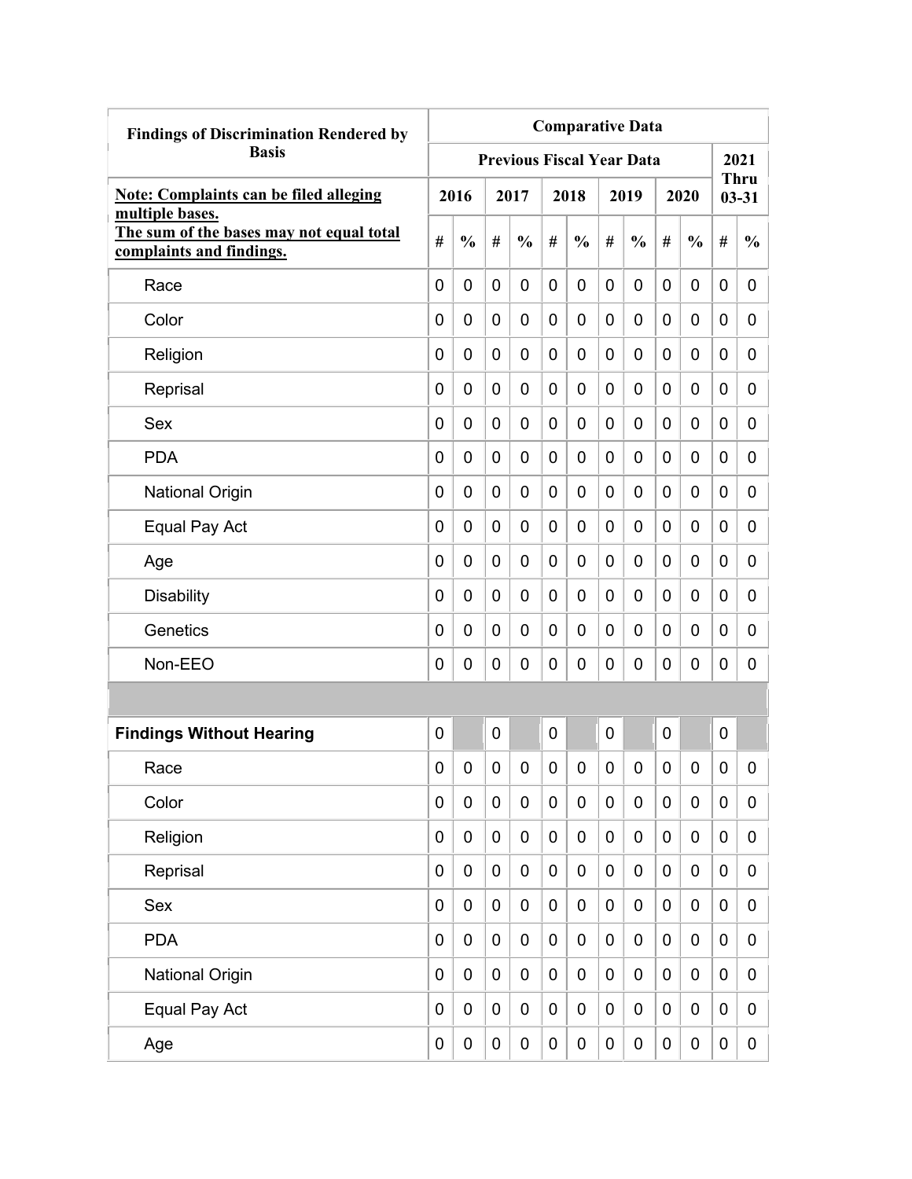| <b>Findings of Discrimination Rendered by</b>                                           | <b>Comparative Data</b> |               |           |                                  |                |               |             |               |   |                  |                  |                          |
|-----------------------------------------------------------------------------------------|-------------------------|---------------|-----------|----------------------------------|----------------|---------------|-------------|---------------|---|------------------|------------------|--------------------------|
| <b>Basis</b>                                                                            |                         |               |           | <b>Previous Fiscal Year Data</b> |                |               |             |               |   |                  |                  | 2021                     |
| <b>Note: Complaints can be filed alleging</b>                                           |                         | 2016          |           | 2017                             |                | 2018          |             | 2019          |   | 2020             |                  | <b>Thru</b><br>$03 - 31$ |
| multiple bases.<br>The sum of the bases may not equal total<br>complaints and findings. | #                       | $\frac{0}{0}$ | #         | $\frac{0}{0}$                    | #              | $\frac{0}{0}$ | #           | $\frac{0}{0}$ | # | $\frac{0}{0}$    | #                | $\frac{0}{0}$            |
| Race                                                                                    | 0                       | 0             | 0         | $\overline{0}$                   | $\overline{0}$ | $\mathbf 0$   | 0           | 0             | 0 | 0                | 0                | 0                        |
| Color                                                                                   | 0                       | 0             | 0         | 0                                | 0              | 0             | 0           | 0             | 0 | 0                | 0                | 0                        |
| Religion                                                                                | 0                       | 0             | 0         | 0                                | 0              | 0             | 0           | 0             | 0 | 0                | 0                | 0                        |
| Reprisal                                                                                | 0                       | 0             | 0         | 0                                | 0              | 0             | 0           | 0             | 0 | 0                | 0                | 0                        |
| Sex                                                                                     | 0                       | 0             | 0         | 0                                | 0              | $\mathbf 0$   | 0           | 0             | 0 | 0                | 0                | 0                        |
| <b>PDA</b>                                                                              | 0                       | 0             | 0         | $\overline{0}$                   | 0              | $\mathbf 0$   | 0           | 0             | 0 | 0                | $\mathbf 0$      | 0                        |
| <b>National Origin</b>                                                                  | 0                       | 0             | 0         | 0                                | 0              | 0             | 0           | 0             | 0 | 0                | 0                | 0                        |
| Equal Pay Act                                                                           | 0                       | 0             | 0         | 0                                | 0              | 0             | 0           | 0             | 0 | 0                | 0                | 0                        |
| Age                                                                                     | 0                       | 0             | 0         | 0                                | $\mathbf 0$    | 0             | 0           | 0             | 0 | 0                | 0                | 0                        |
| <b>Disability</b>                                                                       | 0                       | 0             | 0         | 0                                | 0              | 0             | 0           | 0             | 0 | 0                | 0                | 0                        |
| Genetics                                                                                | 0                       | 0             | 0         | 0                                | 0              | 0             | 0           | 0             | 0 | 0                | 0                | 0                        |
| Non-EEO                                                                                 | 0                       | 0             | 0         | 0                                | 0              | 0             | 0           | 0             | 0 | 0                | 0                | 0                        |
|                                                                                         |                         |               |           |                                  |                |               |             |               |   |                  |                  |                          |
| <b>Findings Without Hearing</b>                                                         | 0                       |               | 0         |                                  | 0              |               | 0           |               | 0 |                  | $\mathbf 0$      |                          |
| Race                                                                                    | 0                       | 0             | 0         | 0                                | 0              | 0             | 0           | 0             | 0 | 0                | 0                | 0                        |
| Color                                                                                   | 0                       | $\mathbf 0$   | $\pmb{0}$ | $\mathbf 0$                      | $\mathbf 0$    | $\mathbf 0$   | $\mathbf 0$ | 0             | 0 | $\mathbf 0$      | $\mathbf 0$      | 0                        |
| Religion                                                                                | 0                       | $\mathbf 0$   | $\pmb{0}$ | $\mathbf 0$                      | $\mathbf 0$    | 0             | 0           | 0             | 0 | $\boldsymbol{0}$ | $\mathbf 0$      | 0                        |
| Reprisal                                                                                | 0                       | $\mathbf 0$   | $\pmb{0}$ | $\mathbf 0$                      | $\mathbf 0$    | $\mathbf 0$   | $\mathbf 0$ | 0             | 0 | $\pmb{0}$        | $\mathbf 0$      | 0                        |
| Sex                                                                                     | 0                       | $\mathbf 0$   | $\pmb{0}$ | $\mathbf 0$                      | $\mathbf 0$    | $\mathbf 0$   | $\mathbf 0$ | 0             | 0 | $\pmb{0}$        | $\mathbf 0$      | 0                        |
| <b>PDA</b>                                                                              | 0                       | $\mathbf 0$   | $\pmb{0}$ | $\mathbf 0$                      | $\mathbf 0$    | $\mathbf 0$   | $\mathbf 0$ | $\pmb{0}$     | 0 | $\mathbf 0$      | $\mathbf 0$      | 0                        |
| <b>National Origin</b>                                                                  | 0                       | $\mathbf 0$   | $\pmb{0}$ | $\mathbf 0$                      | $\mathbf 0$    | $\pmb{0}$     | 0           | 0             | 0 | $\pmb{0}$        | $\boldsymbol{0}$ | 0                        |
| Equal Pay Act                                                                           | 0                       | $\mathbf 0$   | $\pmb{0}$ | 0                                | $\mathbf 0$    | $\pmb{0}$     | 0           | 0             | 0 | $\pmb{0}$        | $\boldsymbol{0}$ | 0                        |
| Age                                                                                     | 0                       | $\pmb{0}$     | 0         | $\pmb{0}$                        | $\pmb{0}$      | $\pmb{0}$     | 0           | 0             | 0 | $\pmb{0}$        | $\pmb{0}$        | $\mathbf 0$              |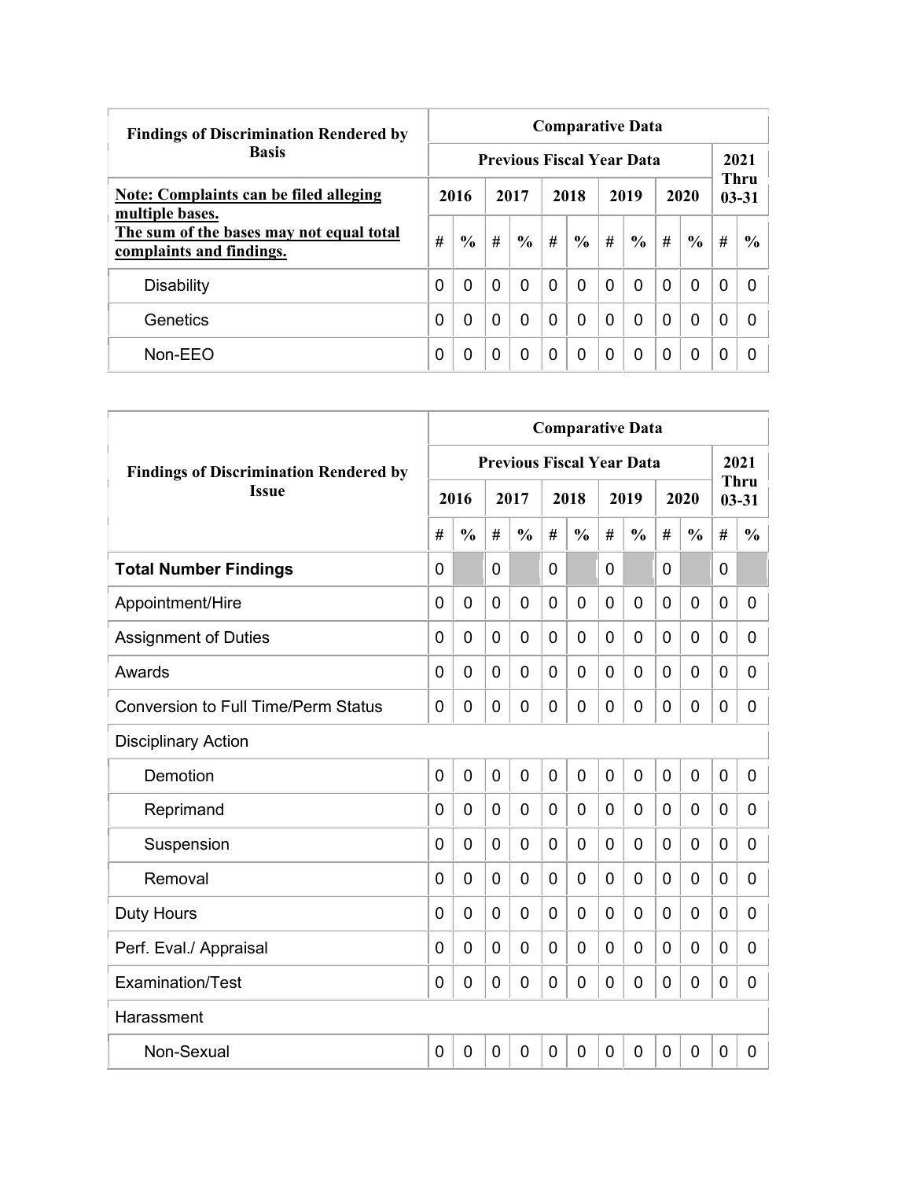| <b>Findings of Discrimination Rendered by</b>                        |   | <b>Comparative Data</b> |          |                                  |          |               |          |               |          |               |                          |               |  |  |  |
|----------------------------------------------------------------------|---|-------------------------|----------|----------------------------------|----------|---------------|----------|---------------|----------|---------------|--------------------------|---------------|--|--|--|
| <b>Basis</b>                                                         |   |                         |          | <b>Previous Fiscal Year Data</b> |          |               |          |               |          |               | 2021                     |               |  |  |  |
| Note: Complaints can be filed alleging<br>multiple bases.            |   | 2016                    | 2017     |                                  | 2018     |               |          | 2019          | 2020     |               | <b>Thru</b><br>$03 - 31$ |               |  |  |  |
| The sum of the bases may not equal total<br>complaints and findings. | # | $\frac{0}{0}$           | #        | $\frac{6}{9}$                    | #        | $\frac{6}{6}$ | #        | $\frac{6}{6}$ | #        | $\frac{6}{6}$ | #                        | $\frac{6}{9}$ |  |  |  |
| <b>Disability</b>                                                    | 0 | $\Omega$                | $\Omega$ | 0                                | $\Omega$ | 0             | $\Omega$ | 0             | $\Omega$ | $\mathbf 0$   | 0                        | <sup>0</sup>  |  |  |  |
| Genetics                                                             | 0 | 0                       | $\Omega$ | 0                                | $\Omega$ | 0             | $\Omega$ | 0             | 0        | $\Omega$      | 0                        |               |  |  |  |
| $Non-EEO$                                                            | 0 | 0                       | 0        | 0                                | $\Omega$ | 0             | $\Omega$ | 0             | 0        | 0             | 0                        |               |  |  |  |

|                                               | <b>Comparative Data</b> |                |   |                |                |                |              |                                  |                |                |             |                          |  |
|-----------------------------------------------|-------------------------|----------------|---|----------------|----------------|----------------|--------------|----------------------------------|----------------|----------------|-------------|--------------------------|--|
| <b>Findings of Discrimination Rendered by</b> |                         |                |   |                |                |                |              | <b>Previous Fiscal Year Data</b> |                |                |             | 2021                     |  |
| <b>Issue</b>                                  |                         | 2016           |   | 2017           |                | 2018           |              | 2019                             |                | 2020           |             | <b>Thru</b><br>$03 - 31$ |  |
|                                               | #                       | $\frac{0}{0}$  | # | $\frac{0}{0}$  | #              | $\frac{0}{0}$  | #            | $\frac{0}{0}$                    | #              | $\frac{0}{0}$  | #           | $\frac{0}{0}$            |  |
| <b>Total Number Findings</b>                  | $\mathbf{0}$            |                | 0 |                | $\mathbf 0$    |                | 0            |                                  | $\mathbf 0$    |                | 0           |                          |  |
| Appointment/Hire                              | $\mathbf 0$             | $\mathbf 0$    | 0 | $\overline{0}$ | $\overline{0}$ | $\mathbf 0$    | 0            | 0                                | $\mathbf 0$    | $\mathbf 0$    | 0           | 0                        |  |
| <b>Assignment of Duties</b>                   | $\mathbf 0$             | 0              | 0 | $\overline{0}$ | $\overline{0}$ | 0              | 0            | 0                                | $\mathbf 0$    | $\overline{0}$ | 0           | 0                        |  |
| Awards                                        | $\Omega$                | 0              | 0 | 0              | 0              | 0              | 0            | 0                                | 0              | $\mathbf 0$    | 0           | 0                        |  |
| <b>Conversion to Full Time/Perm Status</b>    | $\Omega$                | 0              | 0 | $\overline{0}$ | $\mathbf 0$    | 0              | 0            | 0                                | 0              | $\mathbf 0$    | 0           | 0                        |  |
| <b>Disciplinary Action</b>                    |                         |                |   |                |                |                |              |                                  |                |                |             |                          |  |
| Demotion                                      | $\mathbf 0$             | $\overline{0}$ | 0 | $\overline{0}$ | $\mathbf 0$    | $\overline{0}$ | $\mathbf{0}$ | 0                                | $\mathbf 0$    | $\overline{0}$ | 0           | 0                        |  |
| Reprimand                                     | $\Omega$                | $\Omega$       | 0 | $\overline{0}$ | $\mathbf 0$    | 0              | $\Omega$     | 0                                | 0              | $\mathbf 0$    | 0           | 0                        |  |
| Suspension                                    | 0                       | 0              | 0 | $\overline{0}$ | $\mathbf 0$    | 0              | 0            | 0                                | 0              | $\overline{0}$ | 0           | 0                        |  |
| Removal                                       | 0                       | 0              | 0 | $\overline{0}$ | $\mathbf 0$    | 0              | 0            | 0                                | 0              | $\overline{0}$ | 0           | 0                        |  |
| <b>Duty Hours</b>                             | $\Omega$                | 0              | 0 | $\overline{0}$ | $\mathbf 0$    | 0              | 0            | 0                                | 0              | $\overline{0}$ | 0           | 0                        |  |
| Perf. Eval./ Appraisal                        | $\overline{0}$          | 0              | 0 | $\mathbf 0$    | $\mathbf 0$    | $\overline{0}$ | 0            | 0                                | $\mathbf 0$    | $\mathbf 0$    | 0           | 0                        |  |
| Examination/Test                              | 0                       | $\mathbf 0$    | 0 | $\overline{0}$ | $\mathbf 0$    | 0              | 0            | 0                                | $\mathbf 0$    | $\overline{0}$ | $\mathbf 0$ | 0                        |  |
| Harassment                                    |                         |                |   |                |                |                |              |                                  |                |                |             |                          |  |
| Non-Sexual                                    | 0                       | $\mathbf 0$    | 0 | $\overline{0}$ | $\overline{0}$ | 0              | 0            | 0                                | $\overline{0}$ | $\overline{0}$ | $\mathbf 0$ | 0                        |  |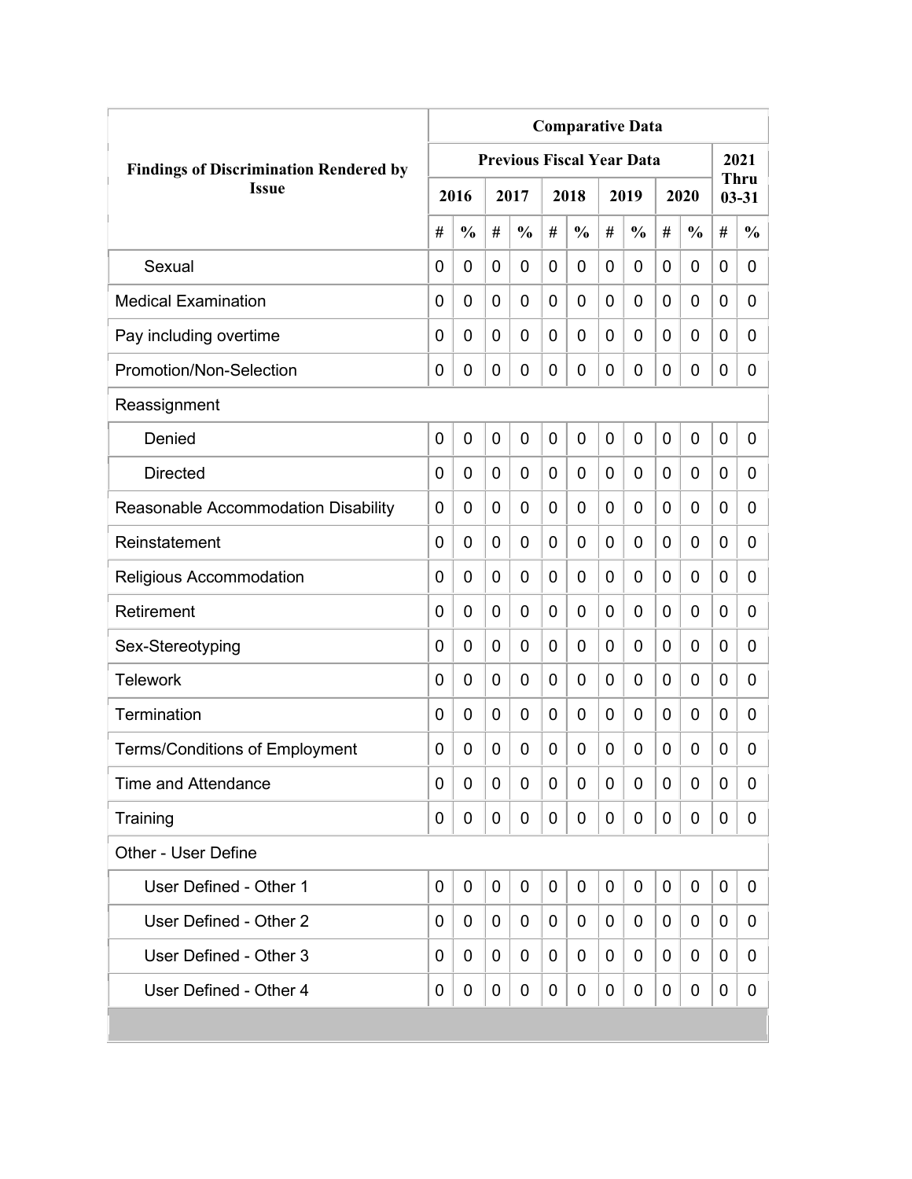|                                               | <b>Comparative Data</b> |               |                |                                  |   |               |   |               |             |               |   |                   |  |
|-----------------------------------------------|-------------------------|---------------|----------------|----------------------------------|---|---------------|---|---------------|-------------|---------------|---|-------------------|--|
| <b>Findings of Discrimination Rendered by</b> |                         |               |                | <b>Previous Fiscal Year Data</b> |   |               |   |               |             |               |   | 2021              |  |
| <b>Issue</b>                                  |                         | 2016          |                | 2017                             |   | 2018          |   | 2019          |             | 2020          |   | Thru<br>$03 - 31$ |  |
|                                               | #                       | $\frac{0}{0}$ | #              | $\frac{0}{0}$                    | # | $\frac{0}{0}$ | # | $\frac{0}{0}$ | #           | $\frac{0}{0}$ | # | $\frac{0}{0}$     |  |
| Sexual                                        | 0                       | 0             | 0              | 0                                | 0 | 0             | 0 | 0             | 0           | 0             | 0 | 0                 |  |
| <b>Medical Examination</b>                    | 0                       | 0             | 0              | 0                                | 0 | 0             | 0 | 0             | 0           | 0             | 0 | 0                 |  |
| Pay including overtime                        | 0                       | 0             | 0              | 0                                | 0 | 0             | 0 | 0             | 0           | 0             | 0 | 0                 |  |
| Promotion/Non-Selection                       | 0                       | 0             | 0              | 0                                | 0 | 0             | 0 | 0             | 0           | 0             | 0 | 0                 |  |
| Reassignment                                  |                         |               |                |                                  |   |               |   |               |             |               |   |                   |  |
| Denied                                        | $\mathbf 0$             | 0             | $\overline{0}$ | 0                                | 0 | 0             | 0 | 0             | $\mathbf 0$ | 0             | 0 | 0                 |  |
| <b>Directed</b>                               | 0                       | 0             | 0              | 0                                | 0 | 0             | 0 | 0             | 0           | 0             | 0 | 0                 |  |
| Reasonable Accommodation Disability           | 0                       | 0             | 0              | 0                                | 0 | 0             | 0 | 0             | 0           | 0             | 0 | 0                 |  |
| Reinstatement                                 | $\Omega$                | $\mathbf 0$   | 0              | 0                                | 0 | 0             | 0 | 0             | 0           | 0             | 0 | $\overline{0}$    |  |
| Religious Accommodation                       | 0                       | $\mathbf 0$   | 0              | 0                                | 0 | 0             | 0 | 0             | 0           | 0             | 0 | $\overline{0}$    |  |
| Retirement                                    | 0                       | 0             | 0              | 0                                | 0 | 0             | 0 | 0             | 0           | 0             | 0 | 0                 |  |
| Sex-Stereotyping                              | 0                       | 0             | 0              | 0                                | 0 | 0             | 0 | 0             | 0           | 0             | 0 | 0                 |  |
| <b>Telework</b>                               | 0                       | $\mathbf 0$   | 0              | 0                                | 0 | 0             | 0 | 0             | 0           | 0             | 0 | 0                 |  |
| Termination                                   | 0                       | 0             | 0              | 0                                | 0 | 0             | 0 | 0             | 0           | 0             | 0 | 0                 |  |
| <b>Terms/Conditions of Employment</b>         | 0                       | 0             | 0              | 0                                | 0 | 0             | 0 | 0             | 0           | 0             | 0 | 0                 |  |
| <b>Time and Attendance</b>                    | 0                       | 0             | 0              | 0                                | 0 | 0             | 0 | 0             | 0           | 0             | 0 | 0                 |  |
| Training                                      | 0                       | 0             | 0              | 0                                | 0 | 0             | 0 | 0             | 0           | 0             | 0 | 0                 |  |
| Other - User Define                           |                         |               |                |                                  |   |               |   |               |             |               |   |                   |  |
| User Defined - Other 1                        | $\mathbf 0$             | 0             | 0              | 0                                | 0 | $\mathbf 0$   | 0 | 0             | 0           | 0             | 0 | 0                 |  |
| User Defined - Other 2                        | 0                       | 0             | 0              | 0                                | 0 | 0             | 0 | 0             | 0           | 0             | 0 | 0                 |  |
| User Defined - Other 3                        | 0                       | 0             | 0              | 0                                | 0 | 0             | 0 | 0             | 0           | 0             | 0 | 0                 |  |
| User Defined - Other 4                        | 0                       | 0             | 0              | 0                                | 0 | 0             | 0 | 0             | 0           | 0             | 0 | 0                 |  |
|                                               |                         |               |                |                                  |   |               |   |               |             |               |   |                   |  |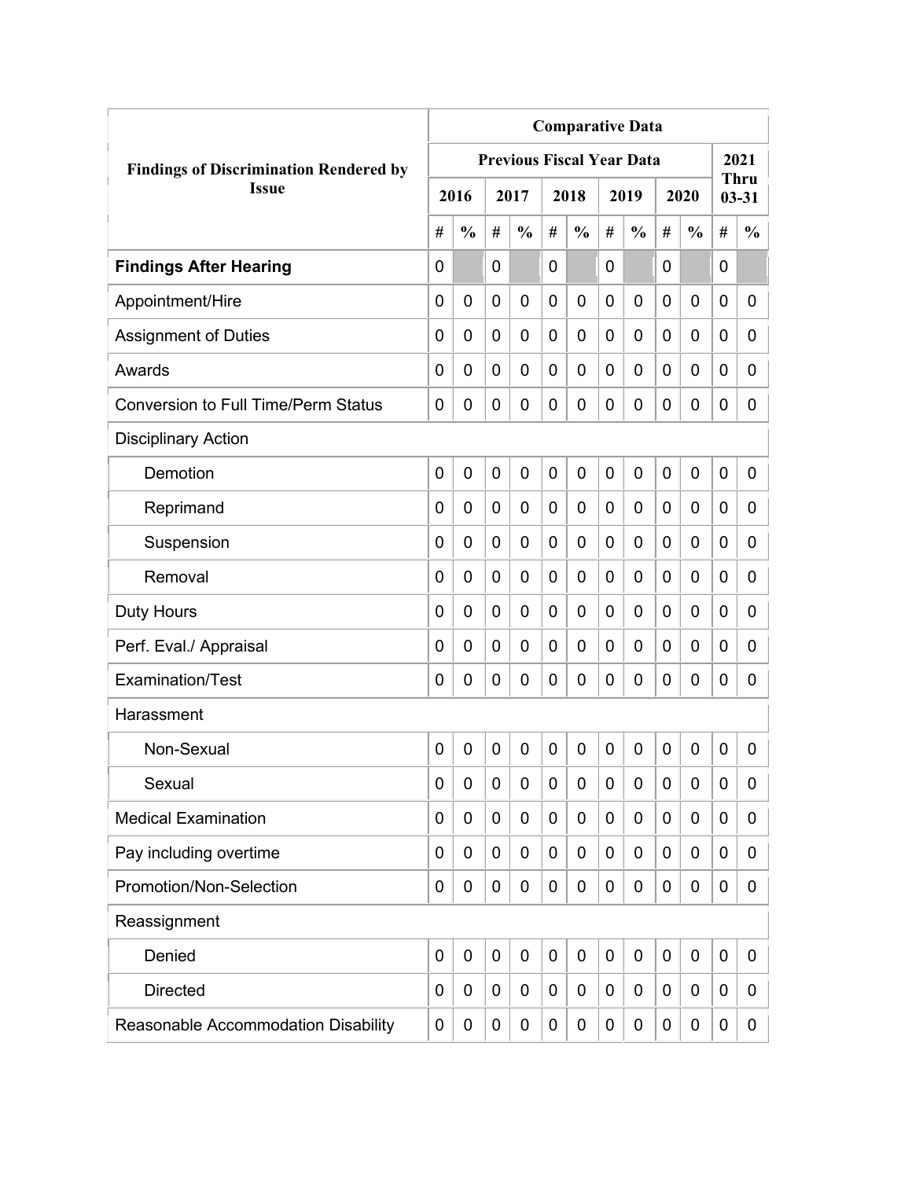|                                               | <b>Comparative Data</b> |               |             |                                  |                |               |                |               |             |               |             |                          |  |
|-----------------------------------------------|-------------------------|---------------|-------------|----------------------------------|----------------|---------------|----------------|---------------|-------------|---------------|-------------|--------------------------|--|
| <b>Findings of Discrimination Rendered by</b> |                         |               |             | <b>Previous Fiscal Year Data</b> |                |               |                |               |             |               |             | 2021                     |  |
| <b>Issue</b>                                  |                         | 2016          |             | 2017                             |                | 2018          |                | 2019          |             | 2020          |             | <b>Thru</b><br>$03 - 31$ |  |
|                                               | #                       | $\frac{0}{0}$ | #           | $\frac{0}{0}$                    | #              | $\frac{0}{0}$ | #              | $\frac{0}{0}$ | #           | $\frac{0}{0}$ | #           | $\frac{0}{0}$            |  |
| <b>Findings After Hearing</b>                 | 0                       |               | 0           |                                  | $\overline{0}$ |               | 0              |               | 0           |               | $\mathbf 0$ |                          |  |
| Appointment/Hire                              | 0                       | $\mathbf 0$   | 0           | $\overline{0}$                   | $\mathbf 0$    | 0             | 0              | 0             | 0           | $\mathbf 0$   | 0           | 0                        |  |
| <b>Assignment of Duties</b>                   | 0                       | 0             | 0           | 0                                | $\mathbf 0$    | 0             | 0              | 0             | 0           | $\mathbf 0$   | 0           | 0                        |  |
| Awards                                        | 0                       | 0             | 0           | 0                                | 0              | 0             | $\overline{0}$ | 0             | 0           | $\mathbf 0$   | 0           | 0                        |  |
| <b>Conversion to Full Time/Perm Status</b>    | 0                       | 0             | 0           | 0                                | $\mathbf 0$    | 0             | 0              | 0             | 0           | $\mathbf 0$   | 0           | 0                        |  |
| <b>Disciplinary Action</b>                    |                         |               |             |                                  |                |               |                |               |             |               |             |                          |  |
| Demotion                                      | 0                       | $\mathbf 0$   | 0           | 0                                | $\mathbf 0$    | 0             | $\overline{0}$ | 0             | 0           | $\mathbf 0$   | $\mathbf 0$ | 0                        |  |
| Reprimand                                     | 0                       | 0             | 0           | $\overline{0}$                   | $\mathbf 0$    | 0             | 0              | 0             | 0           | $\mathbf 0$   | 0           | 0                        |  |
| Suspension                                    | 0                       | 0             | 0           | 0                                | 0              | 0             | 0              | 0             | 0           | $\mathbf 0$   | 0           | 0                        |  |
| Removal                                       | 0                       | 0             | 0           | 0                                | 0              | 0             | 0              | 0             | 0           | $\mathbf 0$   | 0           | 0                        |  |
| <b>Duty Hours</b>                             | 0                       | 0             | 0           | 0                                | $\mathbf 0$    | 0             | 0              | 0             | 0           | $\mathbf 0$   | 0           | 0                        |  |
| Perf. Eval./ Appraisal                        | 0                       | 0             | 0           | 0                                | $\mathbf 0$    | 0             | 0              | 0             | 0           | $\mathbf 0$   | 0           | 0                        |  |
| Examination/Test                              | 0                       | 0             | 0           | 0                                | $\mathbf 0$    | 0             | 0              | 0             | 0           | $\mathbf 0$   | 0           | 0                        |  |
| Harassment                                    |                         |               |             |                                  |                |               |                |               |             |               |             |                          |  |
| Non-Sexual                                    | 0                       | $\mathbf 0$   | $\mathbf 0$ | $\overline{0}$                   | $\mathbf 0$    | 0             | $\mathbf 0$    | 0             | $\mathbf 0$ | $\mathbf 0$   | $\mathbf 0$ | 0                        |  |
| Sexual                                        | 0                       | 0             | 0           | 0                                | $\mathbf 0$    | 0             | 0              | 0             | 0           | $\mathbf 0$   | 0           | 0                        |  |
| <b>Medical Examination</b>                    | 0                       | 0             | 0           | 0                                | $\mathbf 0$    | 0             | 0              | 0             | 0           | $\mathbf 0$   | 0           | 0                        |  |
| Pay including overtime                        | 0                       | 0             | 0           | 0                                | $\mathbf 0$    | 0             | 0              | 0             | 0           | $\mathbf 0$   | 0           | 0                        |  |
| Promotion/Non-Selection                       | 0                       | 0             | 0           | 0                                | $\mathbf 0$    | 0             | 0              | 0             | 0           | $\mathbf 0$   | 0           | 0                        |  |
| Reassignment                                  |                         |               |             |                                  |                |               |                |               |             |               |             |                          |  |
| Denied                                        | 0                       | $\mathbf 0$   | $\mathbf 0$ | 0                                | $\mathbf 0$    | 0             | $\mathbf 0$    | 0             | 0           | $\mathbf 0$   | $\mathbf 0$ | 0                        |  |
| <b>Directed</b>                               | 0                       | 0             | 0           | 0                                | $\mathbf 0$    | 0             | 0              | 0             | 0           | $\mathbf 0$   | 0           | 0                        |  |
| Reasonable Accommodation Disability           | 0                       | 0             | 0           | 0                                | $\mathbf 0$    | 0             | 0              | 0             | 0           | $\mathbf 0$   | 0           | $\mathbf{0}$             |  |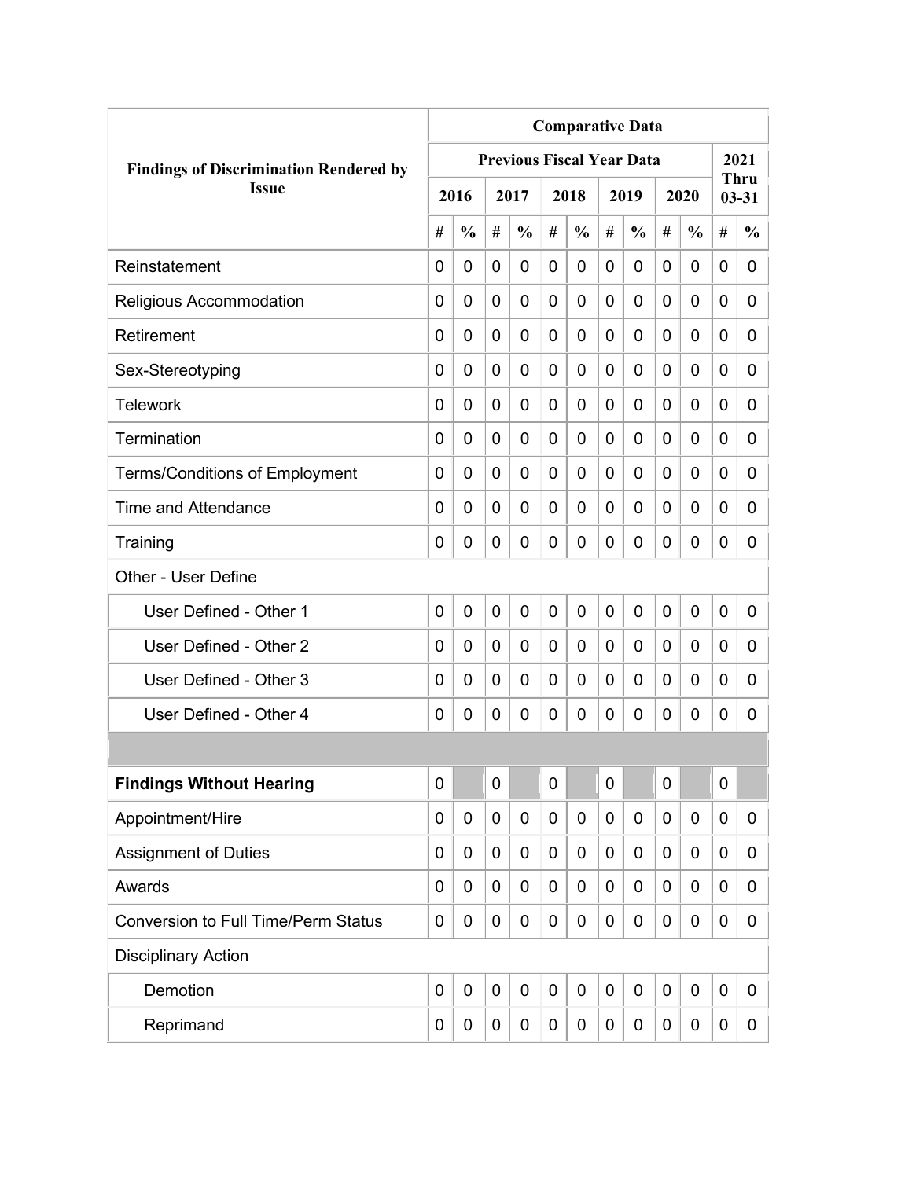|                                               | <b>Comparative Data</b> |               |             |                                  |                |               |   |               |             |               |             |                          |  |
|-----------------------------------------------|-------------------------|---------------|-------------|----------------------------------|----------------|---------------|---|---------------|-------------|---------------|-------------|--------------------------|--|
| <b>Findings of Discrimination Rendered by</b> |                         |               |             | <b>Previous Fiscal Year Data</b> |                |               |   |               |             |               |             | 2021                     |  |
| <b>Issue</b>                                  |                         | 2016          |             | 2017                             |                | 2018          |   | 2019          |             | 2020          |             | <b>Thru</b><br>$03 - 31$ |  |
|                                               | #                       | $\frac{0}{0}$ | #           | $\frac{0}{0}$                    | #              | $\frac{0}{0}$ | # | $\frac{0}{0}$ | #           | $\frac{0}{0}$ | #           | $\frac{0}{0}$            |  |
| Reinstatement                                 | 0                       | 0             | 0           | 0                                | 0              | 0             | 0 | 0             | 0           | 0             | 0           | 0                        |  |
| Religious Accommodation                       | 0                       | 0             | 0           | 0                                | $\overline{0}$ | $\mathbf 0$   | 0 | 0             | 0           | 0             | 0           | 0                        |  |
| Retirement                                    | 0                       | 0             | 0           | 0                                | 0              | $\mathbf 0$   | 0 | 0             | 0           | 0             | 0           | 0                        |  |
| Sex-Stereotyping                              | 0                       | 0             | 0           | 0                                | 0              | 0             | 0 | 0             | 0           | 0             | 0           | 0                        |  |
| <b>Telework</b>                               | 0                       | 0             | 0           | 0                                | 0              | 0             | 0 | 0             | 0           | 0             | 0           | 0                        |  |
| Termination                                   | 0                       | 0             | 0           | 0                                | 0              | 0             | 0 | 0             | 0           | 0             | 0           | 0                        |  |
| <b>Terms/Conditions of Employment</b>         | 0                       | 0             | 0           | 0                                | 0              | 0             | 0 | 0             | 0           | 0             | 0           | 0                        |  |
| Time and Attendance                           | 0                       | 0             | 0           | 0                                | 0              | 0             | 0 | 0             | 0           | 0             | 0           | 0                        |  |
| Training                                      | 0                       | 0             | 0           | 0                                | 0              | $\mathbf 0$   | 0 | 0             | 0           | 0             | 0           | 0                        |  |
| Other - User Define                           |                         |               |             |                                  |                |               |   |               |             |               |             |                          |  |
| User Defined - Other 1                        | 0                       | 0             | $\mathbf 0$ | 0                                | $\overline{0}$ | $\mathbf 0$   | 0 | 0             | $\mathbf 0$ | 0             | $\mathbf 0$ | 0                        |  |
| User Defined - Other 2                        | 0                       | 0             | 0           | 0                                | 0              | 0             | 0 | 0             | 0           | 0             | $\mathbf 0$ | 0                        |  |
| User Defined - Other 3                        | 0                       | 0             | 0           | 0                                | 0              | 0             | 0 | 0             | 0           | 0             | 0           | 0                        |  |
| User Defined - Other 4                        | 0                       | 0             | 0           | 0                                | 0              | 0             | 0 | 0             | 0           | 0             | 0           | 0                        |  |
|                                               |                         |               |             |                                  |                |               |   |               |             |               |             |                          |  |
| <b>Findings Without Hearing</b>               | 0                       |               | $\pmb{0}$   |                                  | $\mathbf 0$    |               | 0 |               | 0           |               | $\mathbf 0$ |                          |  |
| Appointment/Hire                              | 0                       | 0             | 0           | $\mathbf 0$                      | $\mathbf 0$    | $\mathbf 0$   | 0 | $\mathbf 0$   | 0           | 0             | $\mathbf 0$ | 0                        |  |
| <b>Assignment of Duties</b>                   | 0                       | 0             | 0           | 0                                | 0              | $\mathbf 0$   | 0 | 0             | 0           | 0             | $\mathbf 0$ | 0                        |  |
| Awards                                        | 0                       | 0             | 0           | 0                                | $\mathbf 0$    | 0             | 0 | 0             | 0           | 0             | $\mathbf 0$ | 0                        |  |
| <b>Conversion to Full Time/Perm Status</b>    | 0                       | 0             | 0           | 0                                | 0              | $\mathbf 0$   | 0 | $\mathbf 0$   | 0           | 0             | $\mathbf 0$ | 0                        |  |
| <b>Disciplinary Action</b>                    |                         |               |             |                                  |                |               |   |               |             |               |             |                          |  |
| Demotion                                      | $\mathbf 0$             | $\mathbf 0$   | $\mathbf 0$ | $\mathbf 0$                      | $\mathbf 0$    | $\mathbf 0$   | 0 | $\mathbf 0$   | 0           | 0             | $\mathbf 0$ | 0                        |  |
| Reprimand                                     | 0                       | 0             | 0           | 0                                | 0              | $\mathbf 0$   | 0 | $\pmb{0}$     | 0           | 0             | $\mathbf 0$ | 0                        |  |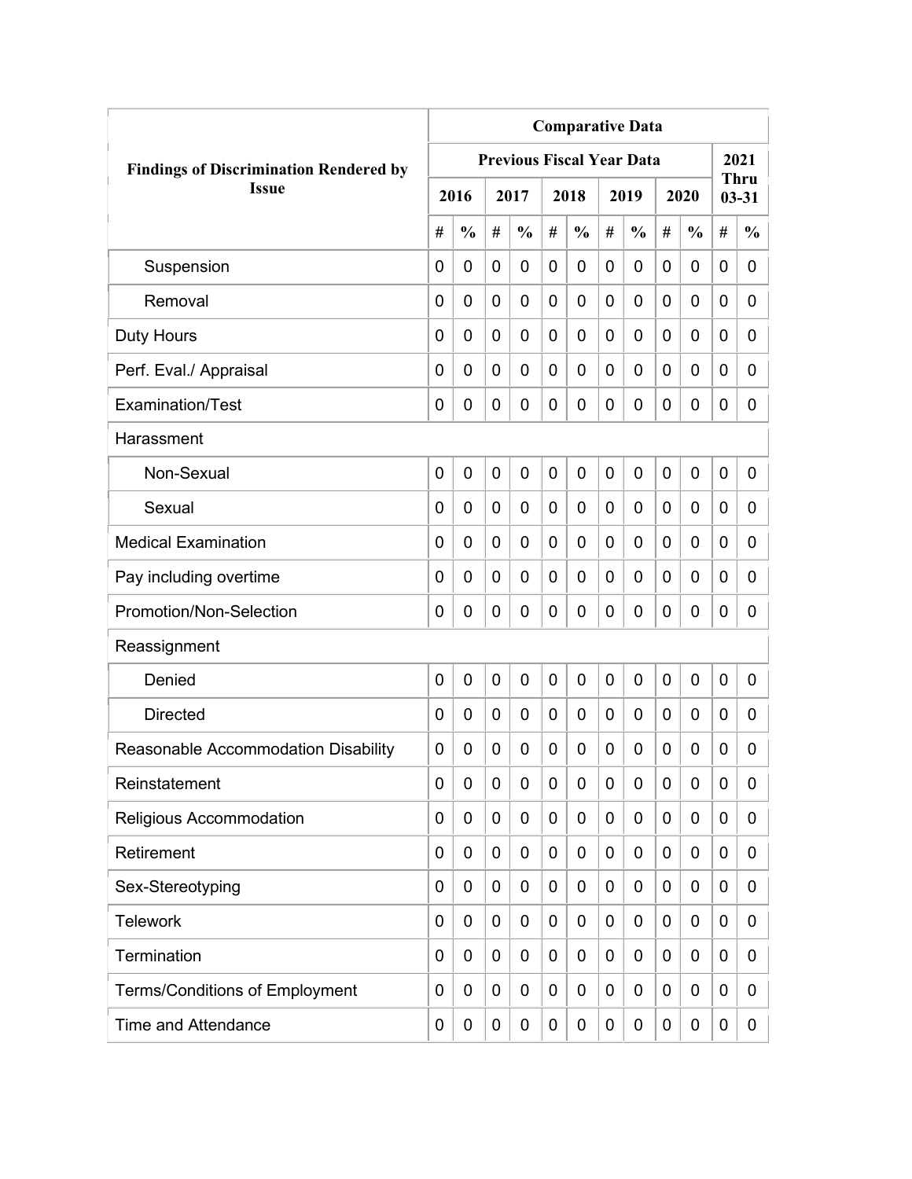|                                               | <b>Comparative Data</b> |                |   |                                  |             |               |             |               |   |               |             |                          |  |
|-----------------------------------------------|-------------------------|----------------|---|----------------------------------|-------------|---------------|-------------|---------------|---|---------------|-------------|--------------------------|--|
| <b>Findings of Discrimination Rendered by</b> |                         |                |   | <b>Previous Fiscal Year Data</b> |             |               |             |               |   |               |             | 2021                     |  |
| <b>Issue</b>                                  |                         | 2016           |   | 2017                             |             | 2018          |             | 2019          |   | 2020          |             | <b>Thru</b><br>$03 - 31$ |  |
|                                               | #                       | $\frac{0}{0}$  | # | $\frac{0}{0}$                    | #           | $\frac{0}{0}$ | #           | $\frac{0}{0}$ | # | $\frac{0}{0}$ | #           | $\frac{0}{0}$            |  |
| Suspension                                    | 0                       | $\mathbf 0$    | 0 | $\overline{0}$                   | 0           | 0             | $\mathbf 0$ | 0             | 0 | $\mathbf 0$   | 0           | 0                        |  |
| Removal                                       | 0                       | 0              | 0 | $\overline{0}$                   | $\mathbf 0$ | 0             | 0           | 0             | 0 | $\mathbf 0$   | $\mathbf 0$ | 0                        |  |
| Duty Hours                                    | 0                       | 0              | 0 | 0                                | 0           | 0             | 0           | 0             | 0 | $\mathbf 0$   | 0           | 0                        |  |
| Perf. Eval./ Appraisal                        | 0                       | 0              | 0 | 0                                | 0           | 0             | 0           | 0             | 0 | $\mathbf 0$   | 0           | 0                        |  |
| Examination/Test                              | 0                       | 0              | 0 | 0                                | $\mathbf 0$ | 0             | 0           | 0             | 0 | $\mathbf 0$   | 0           | 0                        |  |
| Harassment                                    |                         |                |   |                                  |             |               |             |               |   |               |             |                          |  |
| Non-Sexual                                    | 0                       | $\overline{0}$ | 0 | 0                                | $\mathbf 0$ | 0             | $\mathbf 0$ | $\mathbf 0$   | 0 | $\mathbf 0$   | 0           | 0                        |  |
| Sexual                                        | 0                       | 0              | 0 | $\overline{0}$                   | 0           | 0             | 0           | 0             | 0 | $\mathbf 0$   | 0           | 0                        |  |
| <b>Medical Examination</b>                    | 0                       | 0              | 0 | $\overline{0}$                   | 0           | 0             | 0           | 0             | 0 | $\mathbf 0$   | $\mathbf 0$ | 0                        |  |
| Pay including overtime                        | 0                       | 0              | 0 | 0                                | 0           | 0             | 0           | 0             | 0 | $\mathbf 0$   | 0           | 0                        |  |
| Promotion/Non-Selection                       | 0                       | 0              | 0 | 0                                | $\mathbf 0$ | 0             | 0           | 0             | 0 | $\mathbf 0$   | 0           | 0                        |  |
| Reassignment                                  |                         |                |   |                                  |             |               |             |               |   |               |             |                          |  |
| Denied                                        | 0                       | $\mathbf 0$    | 0 | $\overline{0}$                   | $\mathbf 0$ | 0             | 0           | 0             | 0 | $\mathbf 0$   | 0           | 0                        |  |
| <b>Directed</b>                               | 0                       | $\mathbf 0$    | 0 | 0                                | $\mathbf 0$ | 0             | 0           | 0             | 0 | $\mathbf 0$   | 0           | 0                        |  |
| Reasonable Accommodation Disability           | 0                       | 0              | 0 | 0                                | 0           | 0             | 0           | 0             | 0 | 0             | 0           | 0                        |  |
| Reinstatement                                 | 0                       | 0              | 0 | 0                                | $\mathbf 0$ | 0             | 0           | 0             | 0 | $\mathbf 0$   | 0           | 0                        |  |
| Religious Accommodation                       | 0                       | 0              | 0 | 0                                | 0           | 0             | 0           | 0             | 0 | $\mathbf 0$   | 0           | 0                        |  |
| Retirement                                    | 0                       | 0              | 0 | 0                                | $\mathbf 0$ | 0             | 0           | 0             | 0 | $\mathbf 0$   | 0           | 0                        |  |
| Sex-Stereotyping                              | 0                       | 0              | 0 | 0                                | 0           | 0             | 0           | 0             | 0 | $\mathbf 0$   | 0           | 0                        |  |
| <b>Telework</b>                               | 0                       | 0              | 0 | 0                                | 0           | 0             | 0           | 0             | 0 | $\mathbf 0$   | 0           | 0                        |  |
| Termination                                   | 0                       | 0              | 0 | 0                                | $\mathbf 0$ | 0             | 0           | 0             | 0 | $\mathbf 0$   | 0           | 0                        |  |
| <b>Terms/Conditions of Employment</b>         | 0                       | 0              | 0 | 0                                | 0           | 0             | 0           | 0             | 0 | $\mathbf 0$   | 0           | 0                        |  |
| <b>Time and Attendance</b>                    | 0                       | 0              | 0 | 0                                | $\mathbf 0$ | 0             | 0           | 0             | 0 | $\mathbf 0$   | 0           | 0                        |  |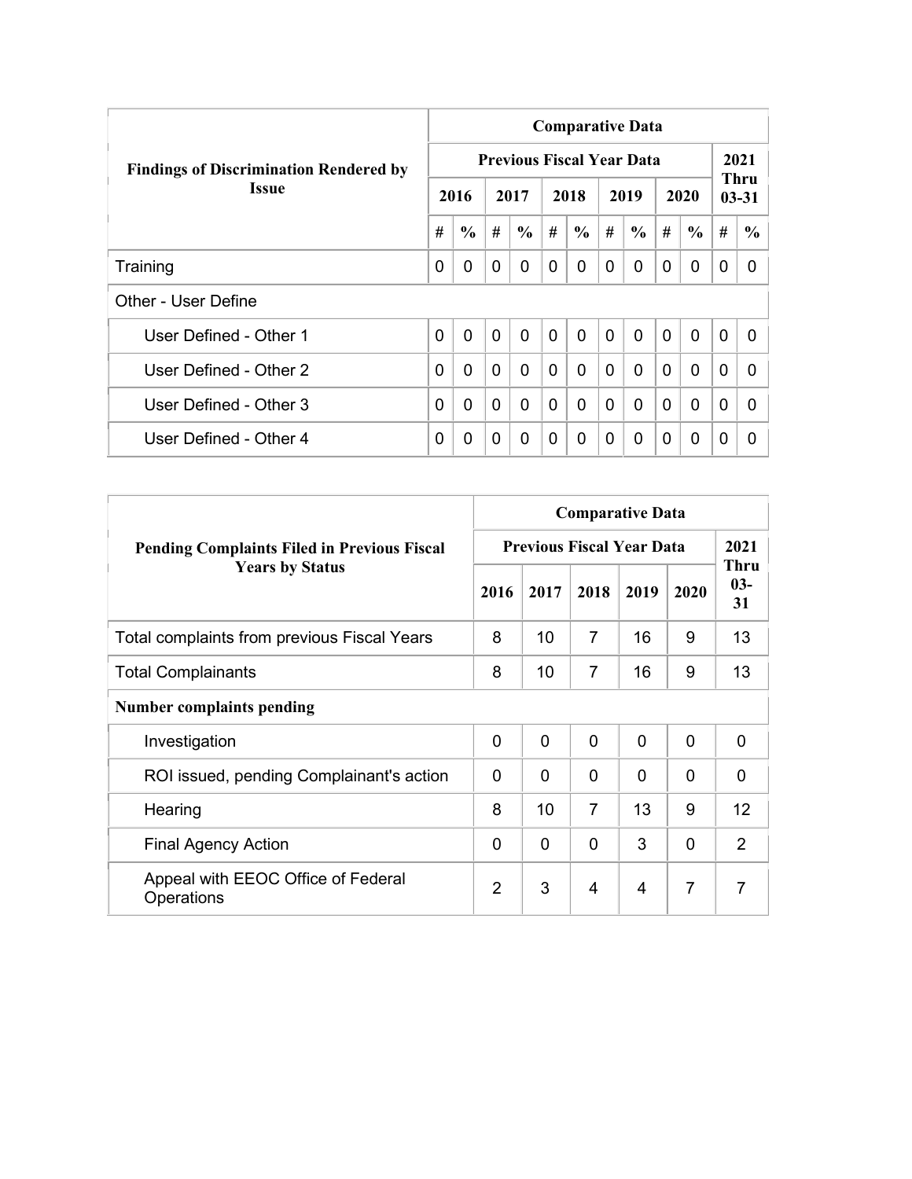|                                               | <b>Comparative Data</b> |               |                |                                  |                |                |              |                |                |               |             |                   |  |  |
|-----------------------------------------------|-------------------------|---------------|----------------|----------------------------------|----------------|----------------|--------------|----------------|----------------|---------------|-------------|-------------------|--|--|
| <b>Findings of Discrimination Rendered by</b> |                         |               |                | <b>Previous Fiscal Year Data</b> |                |                |              |                |                |               |             | 2021              |  |  |
| <b>Issue</b>                                  |                         | 2016          |                | 2017                             |                | 2018           |              | 2019           |                | 2020          |             | Thru<br>$03 - 31$ |  |  |
|                                               | #                       | $\frac{6}{6}$ | #              | $\frac{6}{6}$                    | #              | $\frac{6}{6}$  | #            | $\frac{6}{6}$  | #              | $\frac{6}{6}$ | #           | $\frac{6}{6}$     |  |  |
| Training                                      | 0                       | 0             | $\Omega$       | 0                                | 0              | $\Omega$       | 0            | 0              | $\Omega$       | 0             | 0           | 0                 |  |  |
| Other - User Define                           |                         |               |                |                                  |                |                |              |                |                |               |             |                   |  |  |
| User Defined - Other 1                        | 0                       | $\mathbf{0}$  | $\overline{0}$ | $\mathbf{0}$                     | $\overline{0}$ | $\overline{0}$ | $\mathbf{0}$ | $\overline{0}$ | $\overline{0}$ | $\mathbf{0}$  | $\mathbf 0$ | 0                 |  |  |
| User Defined - Other 2                        | 0                       | 0             | $\mathbf{0}$   | $\Omega$                         | $\Omega$       | 0              | $\Omega$     | $\Omega$       | $\Omega$       | $\mathbf{0}$  | $\Omega$    | <sup>0</sup>      |  |  |
| User Defined - Other 3                        | 0                       | 0             | $\Omega$       | 0                                | $\mathbf{0}$   | 0              | $\Omega$     | $\Omega$       | $\Omega$       | $\mathbf{0}$  | $\Omega$    | 0                 |  |  |
| User Defined - Other 4                        | 0                       | 0             | $\Omega$       | 0                                | 0              | $\Omega$       | 0            | $\Omega$       | 0              | $\mathbf 0$   | 0           | 0                 |  |  |

|                                                    | <b>Comparative Data</b>          |      |                |          |                |                            |  |  |  |  |  |  |
|----------------------------------------------------|----------------------------------|------|----------------|----------|----------------|----------------------------|--|--|--|--|--|--|
| <b>Pending Complaints Filed in Previous Fiscal</b> | <b>Previous Fiscal Year Data</b> | 2021 |                |          |                |                            |  |  |  |  |  |  |
| <b>Years by Status</b>                             | 2016                             | 2017 | 2018           | 2019     | 2020           | <b>Thru</b><br>$03-$<br>31 |  |  |  |  |  |  |
| Total complaints from previous Fiscal Years        | 8                                | 10   | 7              | 16       | 9              | 13                         |  |  |  |  |  |  |
| <b>Total Complainants</b>                          | 8                                | 10   | $\overline{7}$ | 16       | 9              | 13                         |  |  |  |  |  |  |
| <b>Number complaints pending</b>                   |                                  |      |                |          |                |                            |  |  |  |  |  |  |
| Investigation                                      | $\mathbf 0$                      | 0    | $\overline{0}$ | $\Omega$ | $\mathbf{0}$   | 0                          |  |  |  |  |  |  |
| ROI issued, pending Complainant's action           | $\Omega$                         | 0    | $\mathbf 0$    | 0        | $\Omega$       | $\Omega$                   |  |  |  |  |  |  |
| Hearing                                            | 8                                | 10   | $\overline{7}$ | 13       | 9              | 12                         |  |  |  |  |  |  |
| <b>Final Agency Action</b>                         | $\Omega$                         | 0    | $\Omega$       | 3        | $\mathbf{0}$   | $\overline{2}$             |  |  |  |  |  |  |
| Appeal with EEOC Office of Federal<br>Operations   | $\overline{2}$                   | 3    | 4              | 4        | $\overline{7}$ | $\overline{7}$             |  |  |  |  |  |  |